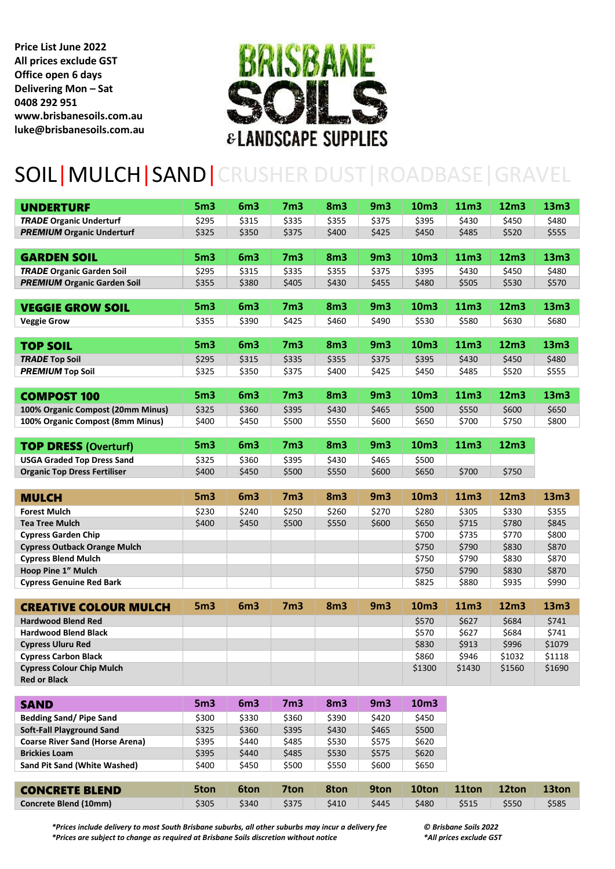**Price List June 2022 All prices exclude GST Office open 6 days Delivering Mon – Sat 0408 292 951 www.brisbanesoils.com.au luke@brisbanesoils.com.au**



## SOIL|MULCH|SAND|CRUSHER DUST|ROADBASE|GRAVEL

| <b>UNDERTURF</b>                                                    | 5 <sub>m3</sub> | 6 <sub>m3</sub> | 7 <sub>m3</sub> | 8 <sub>m3</sub> | 9 <sub>m3</sub>      | 10m3          | 11m3   | 12 <sub>m3</sub> | 13m3   |
|---------------------------------------------------------------------|-----------------|-----------------|-----------------|-----------------|----------------------|---------------|--------|------------------|--------|
| <b>TRADE Organic Underturf</b>                                      | \$295           | \$315           | \$335           | \$355           | \$375                | \$395         | \$430  | \$450            | \$480  |
| <b>PREMIUM Organic Underturf</b>                                    | \$325           | \$350           | \$375           | \$400           | \$425                | \$450         | \$485  | \$520            | \$555  |
|                                                                     |                 |                 |                 |                 |                      |               |        |                  |        |
| <b>GARDEN SOIL</b>                                                  | 5 <sub>m3</sub> | 6 <sub>m3</sub> | 7 <sub>m3</sub> | 8 <sub>m3</sub> | 9 <sub>m3</sub>      | 10m3          | 11m3   | 12m3             | 13m3   |
| <b>TRADE Organic Garden Soil</b>                                    | \$295           | \$315           | \$335           | \$355           | \$375                | \$395         | \$430  | \$450            | \$480  |
| <b>PREMIUM Organic Garden Soil</b>                                  | \$355           | \$380           | \$405           | \$430           | \$455                | \$480         | \$505  | \$530            | \$570  |
|                                                                     |                 |                 |                 |                 |                      |               |        |                  |        |
| <b>VEGGIE GROW SOIL</b>                                             | 5 <sub>m3</sub> | 6 <sub>m3</sub> | 7 <sub>m3</sub> | 8 <sub>m3</sub> | 9 <sub>m3</sub>      | 10m3          | 11m3   | 12m3             | 13m3   |
| <b>Veggie Grow</b>                                                  | \$355           | \$390           | \$425           | \$460           | \$490                | \$530         | \$580  | \$630            | \$680  |
|                                                                     |                 |                 |                 |                 |                      |               |        |                  |        |
| <b>TOP SOIL</b>                                                     | 5 <sub>m3</sub> | 6 <sub>m3</sub> | 7 <sub>m3</sub> | 8 <sub>m3</sub> | 9 <sub>m3</sub>      | 10m3          | 11m3   | 12m3             | 13m3   |
| <b>TRADE Top Soil</b>                                               | \$295           | \$315           | \$335           | \$355           | \$375                | \$395         | \$430  | \$450            | \$480  |
| <b>PREMIUM Top Soil</b>                                             | \$325           | \$350           | \$375           | \$400           | \$425                | \$450         | \$485  | \$520            | \$555  |
|                                                                     |                 |                 |                 |                 |                      |               |        |                  |        |
| <b>COMPOST 100</b>                                                  | 5 <sub>m3</sub> | 6 <sub>m3</sub> | 7 <sub>m3</sub> | 8 <sub>m3</sub> | 9 <sub>m3</sub>      | 10m3          | 11m3   | 12m3             | 13m3   |
| 100% Organic Compost (20mm Minus)                                   | \$325           | \$360           | \$395           | \$430           | \$465                | \$500         | \$550  | \$600            | \$650  |
| 100% Organic Compost (8mm Minus)                                    | \$400           | \$450           | \$500           | \$550           | \$600                | \$650         | \$700  | \$750            | \$800  |
|                                                                     |                 |                 |                 |                 |                      |               |        |                  |        |
| <b>TOP DRESS (Overturf)</b>                                         | 5 <sub>m3</sub> | 6 <sub>m3</sub> | 7 <sub>m3</sub> | 8 <sub>m3</sub> | 9 <sub>m3</sub>      | 10m3          | 11m3   | 12m3             |        |
| <b>USGA Graded Top Dress Sand</b>                                   | \$325           | \$360           | \$395           | \$430           | \$465                | \$500         |        |                  |        |
| <b>Organic Top Dress Fertiliser</b>                                 | \$400           | \$450           | \$500           | \$550           | \$600                | \$650         | \$700  | \$750            |        |
|                                                                     |                 |                 |                 |                 |                      |               |        |                  |        |
| <b>MULCH</b>                                                        | 5 <sub>m3</sub> | 6 <sub>m3</sub> | 7 <sub>m3</sub> | 8 <sub>m3</sub> | 9 <sub>m3</sub>      | 10m3          | 11m3   | 12 <sub>m3</sub> | 13m3   |
| <b>Forest Mulch</b>                                                 | \$230           | \$240           | \$250           | \$260           | \$270                | \$280         | \$305  | \$330            | \$355  |
| Tea Tree Mulch                                                      | \$400           | \$450           | \$500           | \$550           | \$600                | \$650         | \$715  | \$780            | \$845  |
| <b>Cypress Garden Chip</b>                                          |                 |                 |                 |                 |                      | \$700         | \$735  | \$770            | \$800  |
| <b>Cypress Outback Orange Mulch</b>                                 |                 |                 |                 |                 |                      | \$750         | \$790  | \$830            | \$870  |
| <b>Cypress Blend Mulch</b>                                          |                 |                 |                 |                 |                      | \$750         | \$790  | \$830            | \$870  |
| Hoop Pine 1" Mulch                                                  |                 |                 |                 |                 |                      | \$750         | \$790  | \$830            | \$870  |
| <b>Cypress Genuine Red Bark</b>                                     |                 |                 |                 |                 |                      | \$825         | \$880  | \$935            | \$990  |
|                                                                     |                 |                 |                 |                 |                      |               |        |                  |        |
| <b>CREATIVE COLOUR MULCH</b>                                        | 5 <sub>m3</sub> | 6m3             | 7 <sub>m3</sub> | 8 <sub>m3</sub> | 9 <sub>m3</sub>      | 10m3          | 11m3   | 12m3             | 13m3   |
| <b>Hardwood Blend Red</b>                                           |                 |                 |                 |                 |                      | \$570         | \$627  | \$684            | \$741  |
| <b>Hardwood Blend Black</b>                                         |                 |                 |                 |                 |                      | \$570         | \$627  | \$684            | \$741  |
| <b>Cypress Uluru Red</b>                                            |                 |                 |                 |                 |                      | \$830         | \$913  | \$996            | \$1079 |
| <b>Cypress Carbon Black</b>                                         |                 |                 |                 |                 |                      | \$860         | \$946  | \$1032           | \$1118 |
| <b>Cypress Colour Chip Mulch</b>                                    |                 |                 |                 |                 |                      | \$1300        | \$1430 | \$1560           | \$1690 |
| <b>Red or Black</b>                                                 |                 |                 |                 |                 |                      |               |        |                  |        |
|                                                                     |                 |                 |                 |                 |                      |               |        |                  |        |
|                                                                     |                 |                 |                 |                 |                      |               |        |                  |        |
| <b>SAND</b>                                                         | 5 <sub>m3</sub> | 6 <sub>m3</sub> | 7 <sub>m3</sub> | 8 <sub>m3</sub> | 9 <sub>m3</sub>      | 10m3          |        |                  |        |
| <b>Bedding Sand/ Pipe Sand</b>                                      | \$300           | \$330           | \$360           | \$390           | \$420                | \$450         |        |                  |        |
| <b>Soft-Fall Playground Sand</b><br>Coarse River Sand (Horse Arena) | \$325<br>4205   | \$360<br>C      | \$395<br>CAOL   | \$430<br>5520   | \$465<br><b>CE75</b> | \$500<br>CASO |        |                  |        |

| Coarse River Sand (Horse Arena)     | 5395  | 544U  | 5485  | 553U  | 5575  | SPZU  |       |       |       |
|-------------------------------------|-------|-------|-------|-------|-------|-------|-------|-------|-------|
| <b>Brickies Loam</b>                | \$395 | \$440 | \$485 | \$530 | \$575 | \$620 |       |       |       |
| <b>Sand Pit Sand (White Washed)</b> | \$400 | \$450 | \$500 | \$550 | \$600 | \$650 |       |       |       |
|                                     |       |       |       |       |       |       |       |       |       |
|                                     |       |       |       |       |       |       |       |       |       |
| <b>CONCRETE BLEND</b>               | 5ton  | 6ton  | 7ton  | 8ton  | 9ton  | 10ton | 11ton | 12ton | 13ton |

*\*Prices include delivery to most South Brisbane suburbs, all other suburbs may incur a delivery fee © Brisbane Soils 2022 \*Prices are subject to change as required at Brisbane Soils discretion without notice \*All prices exclude GST*